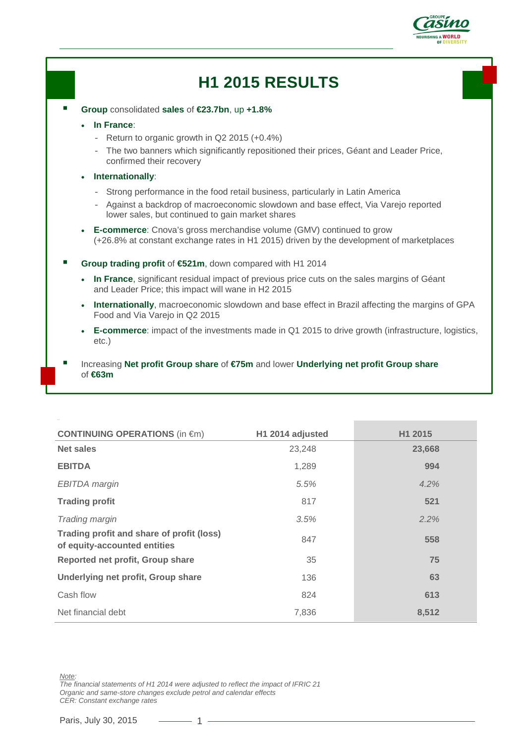

# **H1 2015 RESULTS**

- **Group** consolidated **sales** of **€23.7bn**, up **+1.8%**
	- **In France**:
		- Return to organic growth in Q2 2015 (+0.4%)
		- The two banners which significantly repositioned their prices, Géant and Leader Price, confirmed their recovery
	- **Internationally**:
		- Strong performance in the food retail business, particularly in Latin America
		- Against a backdrop of macroeconomic slowdown and base effect, Via Varejo reported lower sales, but continued to gain market shares
	- **E-commerce**: Cnova's gross merchandise volume (GMV) continued to grow (+26.8% at constant exchange rates in H1 2015) driven by the development of marketplaces
- **Group trading profit** of **€521m**, down compared with H1 2014
	- **In France**, significant residual impact of previous price cuts on the sales margins of Géant and Leader Price; this impact will wane in H2 2015
	- **Internationally**, macroeconomic slowdown and base effect in Brazil affecting the margins of GPA Food and Via Varejo in Q2 2015
	- **E-commerce**: impact of the investments made in Q1 2015 to drive growth (infrastructure, logistics, etc.)
- Increasing **Net profit Group share** of **€75m** and lower **Underlying net profit Group share** of **€63m**

| <b>CONTINUING OPERATIONS (in €m)</b>                                      | H1 2014 adjusted | H <sub>1</sub> 2015 |
|---------------------------------------------------------------------------|------------------|---------------------|
| <b>Net sales</b>                                                          | 23,248           | 23,668              |
| <b>EBITDA</b>                                                             | 1,289            | 994                 |
| <b>EBITDA</b> margin                                                      | 5.5%             | 4.2%                |
| <b>Trading profit</b>                                                     | 817              | 521                 |
| Trading margin                                                            | 3.5%             | 2.2%                |
| Trading profit and share of profit (loss)<br>of equity-accounted entities | 847              | 558                 |
| Reported net profit, Group share                                          | 35               | 75                  |
| Underlying net profit, Group share                                        | 136              | 63                  |
| Cash flow                                                                 | 824              | 613                 |
| Net financial debt                                                        | 7,836            | 8,512               |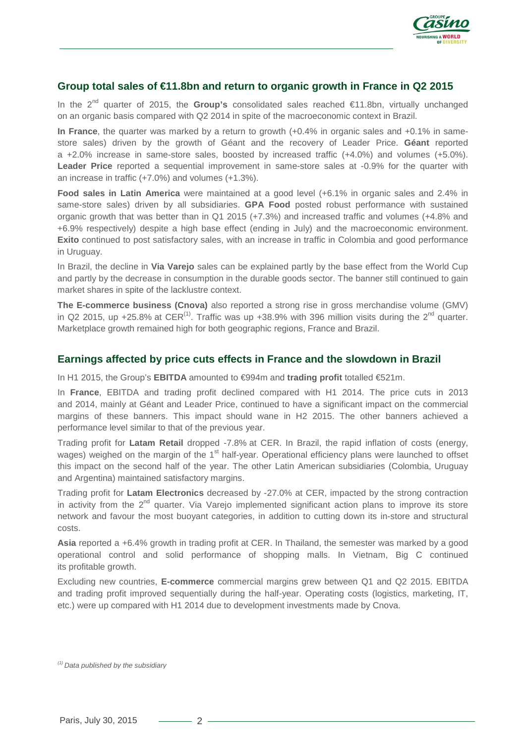

#### **Group total sales of €11.8bn and return to organic growth in France in Q2 2015**

In the 2nd quarter of 2015, the **Group's** consolidated sales reached €11.8bn, virtually unchanged on an organic basis compared with Q2 2014 in spite of the macroeconomic context in Brazil.

**In France**, the quarter was marked by a return to growth (+0.4% in organic sales and +0.1% in samestore sales) driven by the growth of Géant and the recovery of Leader Price. **Géant** reported a +2.0% increase in same-store sales, boosted by increased traffic (+4.0%) and volumes (+5.0%). **Leader Price** reported a sequential improvement in same-store sales at -0.9% for the quarter with an increase in traffic (+7.0%) and volumes (+1.3%).

**Food sales in Latin America** were maintained at a good level (+6.1% in organic sales and 2.4% in same-store sales) driven by all subsidiaries. **GPA Food** posted robust performance with sustained organic growth that was better than in Q1 2015 (+7.3%) and increased traffic and volumes (+4.8% and +6.9% respectively) despite a high base effect (ending in July) and the macroeconomic environment. **Exito** continued to post satisfactory sales, with an increase in traffic in Colombia and good performance in Uruguay.

In Brazil, the decline in **Via Varejo** sales can be explained partly by the base effect from the World Cup and partly by the decrease in consumption in the durable goods sector. The banner still continued to gain market shares in spite of the lacklustre context.

**The E-commerce business (Cnova)** also reported a strong rise in gross merchandise volume (GMV) in Q2 2015, up +25.8% at CER<sup>(1)</sup>. Traffic was up +38.9% with 396 million visits during the 2<sup>nd</sup> quarter. Marketplace growth remained high for both geographic regions, France and Brazil.

### **Earnings affected by price cuts effects in France and the slowdown in Brazil**

In H1 2015, the Group's **EBITDA** amounted to €994m and **trading profit** totalled €521m.

In **France**, EBITDA and trading profit declined compared with H1 2014. The price cuts in 2013 and 2014, mainly at Géant and Leader Price, continued to have a significant impact on the commercial margins of these banners. This impact should wane in H2 2015. The other banners achieved a performance level similar to that of the previous year.

Trading profit for **Latam Retail** dropped -7.8% at CER. In Brazil, the rapid inflation of costs (energy, wages) weighed on the margin of the 1<sup>st</sup> half-year. Operational efficiency plans were launched to offset this impact on the second half of the year. The other Latin American subsidiaries (Colombia, Uruguay and Argentina) maintained satisfactory margins.

Trading profit for **Latam Electronics** decreased by -27.0% at CER, impacted by the strong contraction in activity from the  $2<sup>nd</sup>$  quarter. Via Varejo implemented significant action plans to improve its store network and favour the most buoyant categories, in addition to cutting down its in-store and structural costs.

**Asia** reported a +6.4% growth in trading profit at CER. In Thailand, the semester was marked by a good operational control and solid performance of shopping malls. In Vietnam, Big C continued its profitable growth.

Excluding new countries, **E-commerce** commercial margins grew between Q1 and Q2 2015. EBITDA and trading profit improved sequentially during the half-year. Operating costs (logistics, marketing, IT, etc.) were up compared with H1 2014 due to development investments made by Cnova.

*<sup>(1)</sup> Data published by the subsidiary*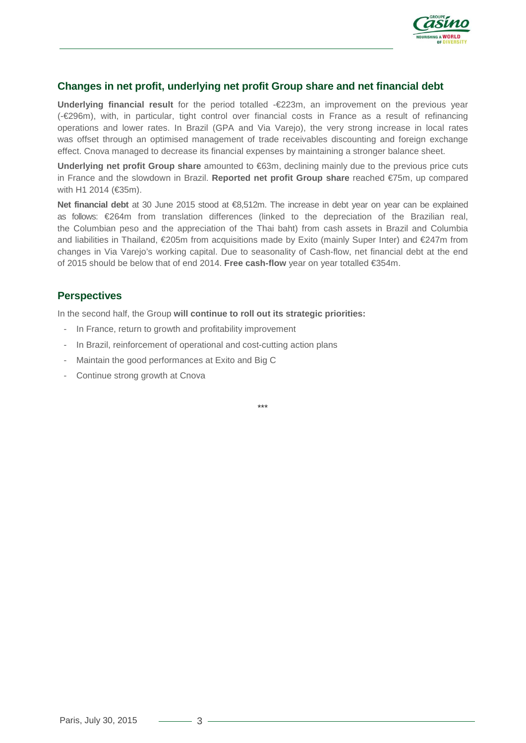

### **Changes in net profit, underlying net profit Group share and net financial debt**

**Underlying financial result** for the period totalled - €223m, an improvement on the previous vear (-€296m), with, in particular, tight control over financial costs in France as a result of refinancing operations and lower rates. In Brazil (GPA and Via Varejo), the very strong increase in local rates was offset through an optimised management of trade receivables discounting and foreign exchange effect. Cnova managed to decrease its financial expenses by maintaining a stronger balance sheet.

**Underlying net profit Group share** amounted to €63m, declining mainly due to the previous price cuts in France and the slowdown in Brazil. **Reported net profit Group share** reached €75m, up compared with H1 2014 (€35m).

**Net financial debt** at 30 June 2015 stood at €8,512m. The increase in debt year on year can be explained as follows: €264m from translation differences (linked to the depreciation of the Brazilian real, the Columbian peso and the appreciation of the Thai baht) from cash assets in Brazil and Columbia and liabilities in Thailand, €205m from acquisitions made by Exito (mainly Super Inter) and €247m from changes in Via Varejo's working capital. Due to seasonality of Cash-flow, net financial debt at the end of 2015 should be below that of end 2014. **Free cash-flow** year on year totalled €354m.

### **Perspectives**

In the second half, the Group **will continue to roll out its strategic priorities:**

- In France, return to growth and profitability improvement
- In Brazil, reinforcement of operational and cost-cutting action plans
- Maintain the good performances at Exito and Big C
- Continue strong growth at Cnova

\*\*\*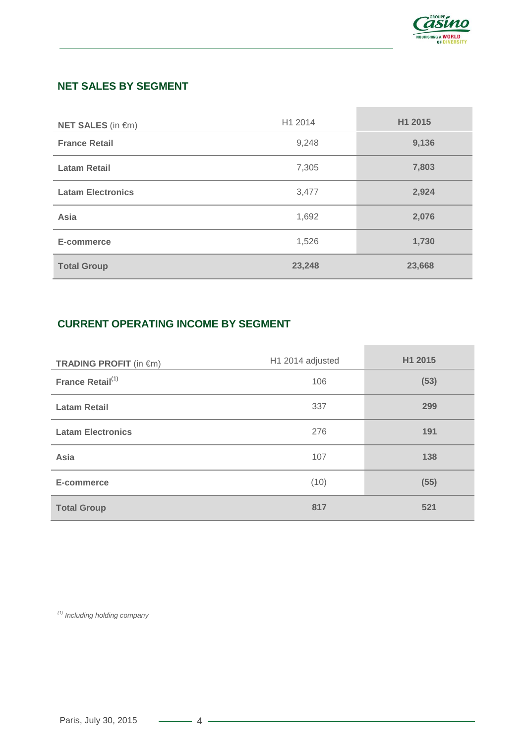

## **NET SALES BY SEGMENT**

| <b>NET SALES</b> (in €m) | H1 2014 | H1 2015 |
|--------------------------|---------|---------|
| <b>France Retail</b>     | 9,248   | 9,136   |
| <b>Latam Retail</b>      | 7,305   | 7,803   |
| <b>Latam Electronics</b> | 3,477   | 2,924   |
| Asia                     | 1,692   | 2,076   |
| E-commerce               | 1,526   | 1,730   |
| <b>Total Group</b>       | 23,248  | 23,668  |

# **CURRENT OPERATING INCOME BY SEGMENT**

| <b>TRADING PROFIT (in €m)</b> | H1 2014 adjusted | H1 2015 |
|-------------------------------|------------------|---------|
| France Retail <sup>(1)</sup>  | 106              | (53)    |
| <b>Latam Retail</b>           | 337              | 299     |
| <b>Latam Electronics</b>      | 276              | 191     |
| Asia                          | 107              | 138     |
| E-commerce                    | (10)             | (55)    |
| <b>Total Group</b>            | 817              | 521     |

**COL** 

*(1) Including holding company*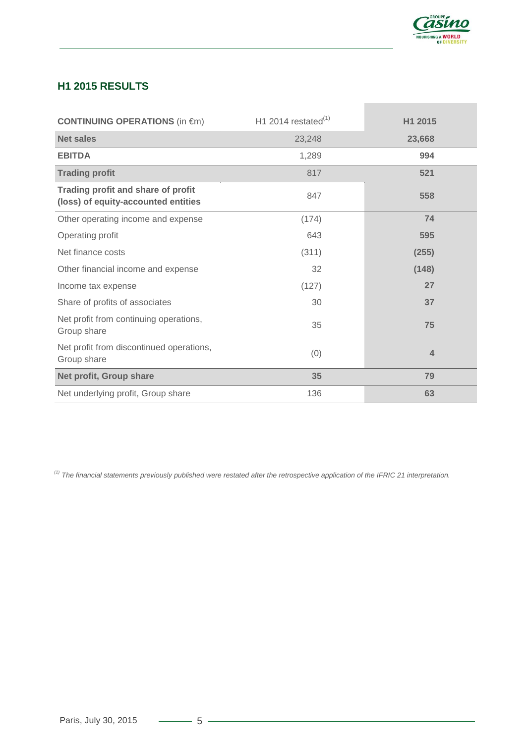

## **H1 2015 RESULTS**

| <b>CONTINUING OPERATIONS (in €m)</b>                                      | H1 2014 restated <sup>(1)</sup> | H1 2015                 |
|---------------------------------------------------------------------------|---------------------------------|-------------------------|
| <b>Net sales</b>                                                          | 23,248                          | 23,668                  |
| <b>EBITDA</b>                                                             | 1,289                           | 994                     |
| <b>Trading profit</b>                                                     | 817                             | 521                     |
| Trading profit and share of profit<br>(loss) of equity-accounted entities | 847                             | 558                     |
| Other operating income and expense                                        | (174)                           | 74                      |
| Operating profit                                                          | 643                             | 595                     |
| Net finance costs                                                         | (311)                           | (255)                   |
| Other financial income and expense                                        | 32                              | (148)                   |
| Income tax expense                                                        | (127)                           | 27                      |
| Share of profits of associates                                            | 30                              | 37                      |
| Net profit from continuing operations,<br>Group share                     | 35                              | 75                      |
| Net profit from discontinued operations,<br>Group share                   | (0)                             | $\overline{\mathbf{4}}$ |
| Net profit, Group share                                                   | 35                              | 79                      |
| Net underlying profit, Group share                                        | 136                             | 63                      |

*(1) The financial statements previously published were restated after the retrospective application of the IFRIC 21 interpretation.*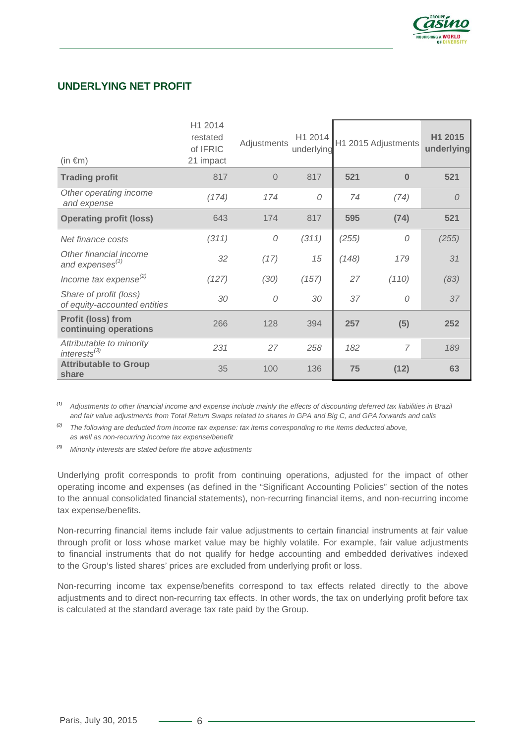

## **UNDERLYING NET PROFIT**

| $(in \in \mathfrak{m})$                                | H1 2014<br>restated<br>of IFRIC<br>21 impact | Adjustments    | H1 2014<br>underlying |       | H1 2015 Adjustments | H1 2015<br>underlying |
|--------------------------------------------------------|----------------------------------------------|----------------|-----------------------|-------|---------------------|-----------------------|
| <b>Trading profit</b>                                  | 817                                          | $\overline{0}$ | 817                   | 521   | $\bf{0}$            | 521                   |
| Other operating income<br>and expense                  | (174)                                        | 174            | 0                     | 74    | (74)                | $\overline{O}$        |
| <b>Operating profit (loss)</b>                         | 643                                          | 174            | 817                   | 595   | (74)                | 521                   |
| Net finance costs                                      | (311)                                        | 0              | (311)                 | (255) | $\Omega$            | (255)                 |
| Other financial income<br>and expenses $^{(1)}$        | 32                                           | (17)           | 15                    | (148) | 179                 | 31                    |
| Income tax expense $^{(2)}$                            | (127)                                        | (30)           | (157)                 | 27    | (110)               | (83)                  |
| Share of profit (loss)<br>of equity-accounted entities | 30                                           | 0              | 30                    | 37    | $\Omega$            | 37                    |
| <b>Profit (loss) from</b><br>continuing operations     | 266                                          | 128            | 394                   | 257   | (5)                 | 252                   |
| Attributable to minority<br>$interests^{(3)}$          | 231                                          | 27             | 258                   | 182   | $\overline{7}$      | 189                   |
| <b>Attributable to Group</b><br>share                  | 35                                           | 100            | 136                   | 75    | (12)                | 63                    |

*(1) Adjustments to other financial income and expense include mainly the effects of discounting deferred tax liabilities in Brazil and fair value adjustments from Total Return Swaps related to shares in GPA and Big C, and GPA forwards and calls*

*(2) The following are deducted from income tax expense: tax items corresponding to the items deducted above, as well as non-recurring income tax expense/benefit*

*(3) Minority interests are stated before the above adjustments*

Underlying profit corresponds to profit from continuing operations, adjusted for the impact of other operating income and expenses (as defined in the "Significant Accounting Policies" section of the notes to the annual consolidated financial statements), non-recurring financial items, and non-recurring income tax expense/benefits.

Non-recurring financial items include fair value adjustments to certain financial instruments at fair value through profit or loss whose market value may be highly volatile. For example, fair value adjustments to financial instruments that do not qualify for hedge accounting and embedded derivatives indexed to the Group's listed shares' prices are excluded from underlying profit or loss.

Non-recurring income tax expense/benefits correspond to tax effects related directly to the above adjustments and to direct non-recurring tax effects. In other words, the tax on underlying profit before tax is calculated at the standard average tax rate paid by the Group.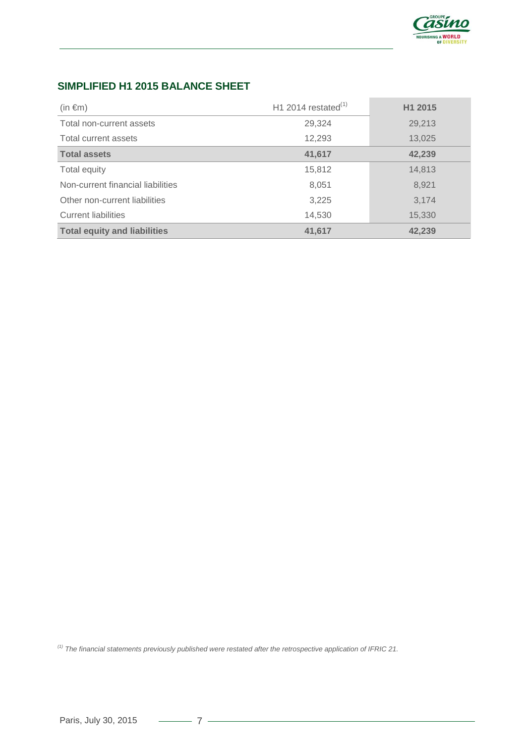

# **SIMPLIFIED H1 2015 BALANCE SHEET**

| $(in \in \mathfrak{m})$             | H1 2014 restated $(1)$ | H1 2015 |
|-------------------------------------|------------------------|---------|
| Total non-current assets            | 29,324                 | 29,213  |
| Total current assets                | 12,293                 | 13,025  |
| <b>Total assets</b>                 | 41,617                 | 42,239  |
| Total equity                        | 15,812                 | 14,813  |
| Non-current financial liabilities   | 8,051                  | 8,921   |
| Other non-current liabilities       | 3,225                  | 3,174   |
| <b>Current liabilities</b>          | 14,530                 | 15,330  |
| <b>Total equity and liabilities</b> | 41,617                 | 42,239  |

*(1) The financial statements previously published were restated after the retrospective application of IFRIC 21.*